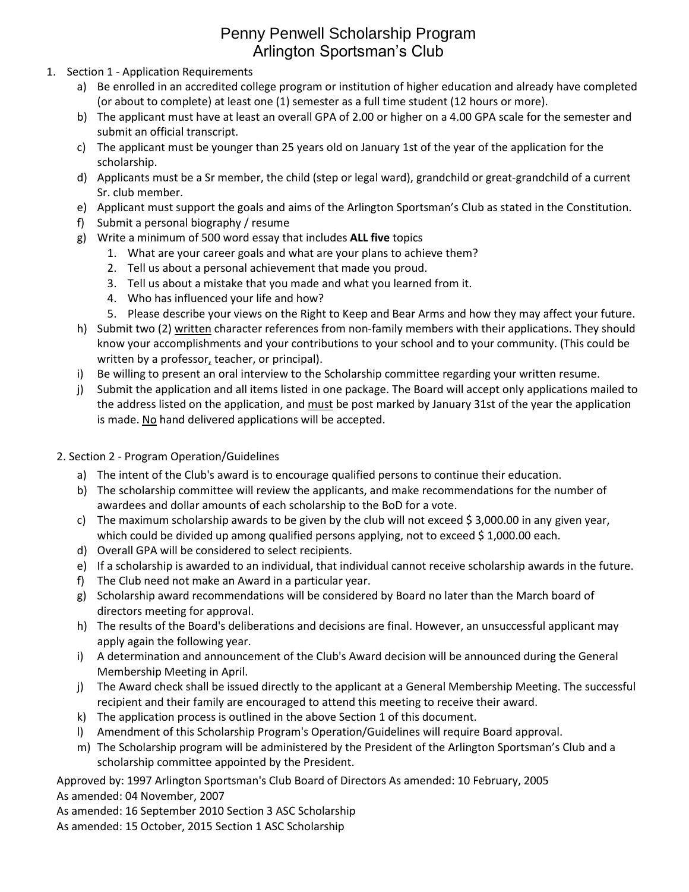## Penny Penwell Scholarship Program Arlington Sportsman's Club

- 1. Section 1 Application Requirements
	- a) Be enrolled in an accredited college program or institution of higher education and already have completed (or about to complete) at least one (1) semester as a full time student (12 hours or more).
	- b) The applicant must have at least an overall GPA of 2.00 or higher on a 4.00 GPA scale for the semester and submit an official transcript.
	- c) The applicant must be younger than 25 years old on January 1st of the year of the application for the scholarship.
	- d) Applicants must be a Sr member, the child (step or legal ward), grandchild or great-grandchild of a current Sr. club member.
	- e) Applicant must support the goals and aims of the Arlington Sportsman's Club as stated in the Constitution.
	- f) Submit a personal biography / resume
	- g) Write a minimum of 500 word essay that includes **ALL five** topics
		- 1. What are your career goals and what are your plans to achieve them?
		- 2. Tell us about a personal achievement that made you proud.
		- 3. Tell us about a mistake that you made and what you learned from it.
		- 4. Who has influenced your life and how?
		- 5. Please describe your views on the Right to Keep and Bear Arms and how they may affect your future.
	- h) Submit two (2) written character references from non-family members with their applications. They should know your accomplishments and your contributions to your school and to your community. (This could be written by a professor, teacher, or principal).
	- i) Be willing to present an oral interview to the Scholarship committee regarding your written resume.
	- j) Submit the application and all items listed in one package. The Board will accept only applications mailed to the address listed on the application, and must be post marked by January 31st of the year the application is made. No hand delivered applications will be accepted.
	- 2. Section 2 Program Operation/Guidelines
		- a) The intent of the Club's award is to encourage qualified persons to continue their education.
		- b) The scholarship committee will review the applicants, and make recommendations for the number of awardees and dollar amounts of each scholarship to the BoD for a vote.
		- c) The maximum scholarship awards to be given by the club will not exceed \$ 3,000.00 in any given year, which could be divided up among qualified persons applying, not to exceed \$1,000.00 each.
		- d) Overall GPA will be considered to select recipients.
		- e) If a scholarship is awarded to an individual, that individual cannot receive scholarship awards in the future.
		- f) The Club need not make an Award in a particular year.
		- g) Scholarship award recommendations will be considered by Board no later than the March board of directors meeting for approval.
		- h) The results of the Board's deliberations and decisions are final. However, an unsuccessful applicant may apply again the following year.
		- i) A determination and announcement of the Club's Award decision will be announced during the General Membership Meeting in April.
		- j) The Award check shall be issued directly to the applicant at a General Membership Meeting. The successful recipient and their family are encouraged to attend this meeting to receive their award.
		- k) The application process is outlined in the above Section 1 of this document.
		- l) Amendment of this Scholarship Program's Operation/Guidelines will require Board approval.
		- m) The Scholarship program will be administered by the President of the Arlington Sportsman's Club and a scholarship committee appointed by the President.

Approved by: 1997 Arlington Sportsman's Club Board of Directors As amended: 10 February, 2005

As amended: 04 November, 2007

- As amended: 16 September 2010 Section 3 ASC Scholarship
- As amended: 15 October, 2015 Section 1 ASC Scholarship